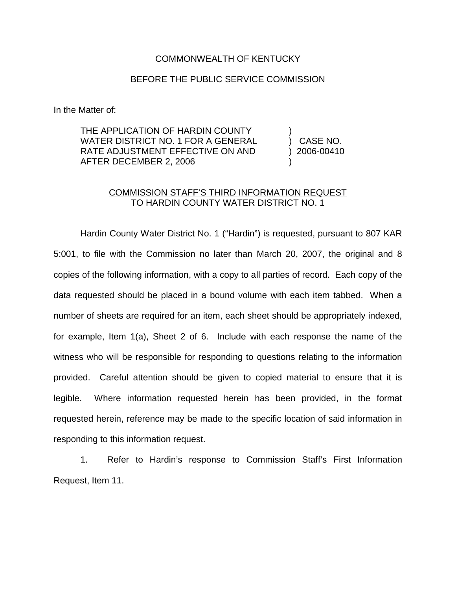## COMMONWEALTH OF KENTUCKY

## BEFORE THE PUBLIC SERVICE COMMISSION

In the Matter of:

THE APPLICATION OF HARDIN COUNTY WATER DISTRICT NO. 1 FOR A GENERAL RATE ADJUSTMENT EFFECTIVE ON AND AFTER DECEMBER 2, 2006

) CASE NO. ) 2006-00410 )

)

## COMMISSION STAFF'S THIRD INFORMATION REQUEST TO HARDIN COUNTY WATER DISTRICT NO. 1

Hardin County Water District No. 1 ("Hardin") is requested, pursuant to 807 KAR 5:001, to file with the Commission no later than March 20, 2007, the original and 8 copies of the following information, with a copy to all parties of record. Each copy of the data requested should be placed in a bound volume with each item tabbed. When a number of sheets are required for an item, each sheet should be appropriately indexed, for example, Item 1(a), Sheet 2 of 6. Include with each response the name of the witness who will be responsible for responding to questions relating to the information provided. Careful attention should be given to copied material to ensure that it is legible. Where information requested herein has been provided, in the format requested herein, reference may be made to the specific location of said information in responding to this information request.

1. Refer to Hardin's response to Commission Staff's First Information Request, Item 11.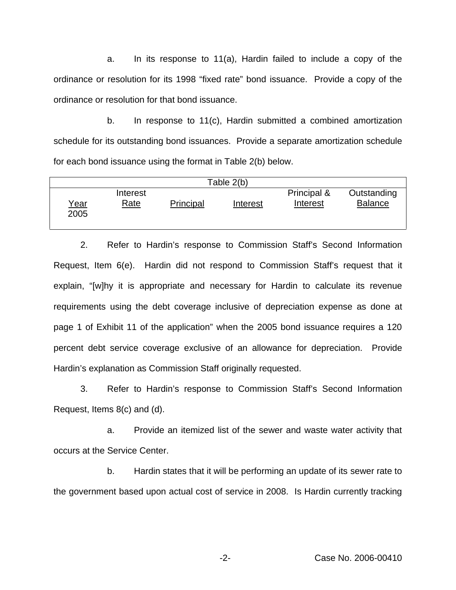a. In its response to 11(a), Hardin failed to include a copy of the ordinance or resolution for its 1998 "fixed rate" bond issuance. Provide a copy of the ordinance or resolution for that bond issuance.

b. In response to 11(c), Hardin submitted a combined amortization schedule for its outstanding bond issuances. Provide a separate amortization schedule for each bond issuance using the format in Table 2(b) below.

| Table 2(b)          |                         |           |          |                         |                               |
|---------------------|-------------------------|-----------|----------|-------------------------|-------------------------------|
| <u>Year</u><br>2005 | Interest<br><u>Rate</u> | Principal | Interest | Principal &<br>Interest | Outstanding<br><b>Balance</b> |

2. Refer to Hardin's response to Commission Staff's Second Information Request, Item 6(e). Hardin did not respond to Commission Staff's request that it explain, "[w]hy it is appropriate and necessary for Hardin to calculate its revenue requirements using the debt coverage inclusive of depreciation expense as done at page 1 of Exhibit 11 of the application" when the 2005 bond issuance requires a 120 percent debt service coverage exclusive of an allowance for depreciation. Provide Hardin's explanation as Commission Staff originally requested.

3. Refer to Hardin's response to Commission Staff's Second Information Request, Items 8(c) and (d).

a. Provide an itemized list of the sewer and waste water activity that occurs at the Service Center.

b. Hardin states that it will be performing an update of its sewer rate to the government based upon actual cost of service in 2008. Is Hardin currently tracking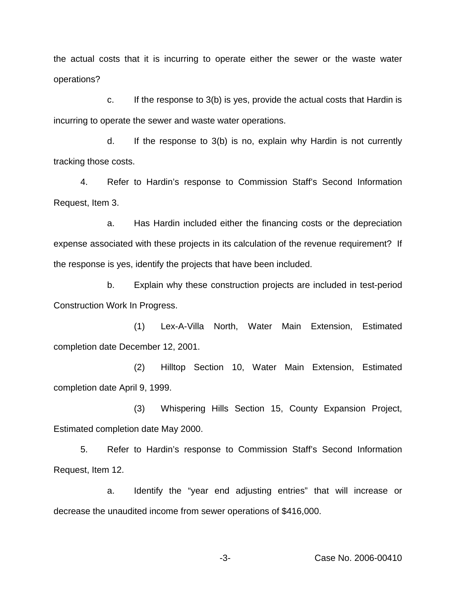the actual costs that it is incurring to operate either the sewer or the waste water operations?

c. If the response to 3(b) is yes, provide the actual costs that Hardin is incurring to operate the sewer and waste water operations.

d. If the response to 3(b) is no, explain why Hardin is not currently tracking those costs.

4. Refer to Hardin's response to Commission Staff's Second Information Request, Item 3.

a. Has Hardin included either the financing costs or the depreciation expense associated with these projects in its calculation of the revenue requirement? If the response is yes, identify the projects that have been included.

b. Explain why these construction projects are included in test-period Construction Work In Progress.

(1) Lex-A-Villa North, Water Main Extension, Estimated completion date December 12, 2001.

(2) Hilltop Section 10, Water Main Extension, Estimated completion date April 9, 1999.

(3) Whispering Hills Section 15, County Expansion Project, Estimated completion date May 2000.

5. Refer to Hardin's response to Commission Staff's Second Information Request, Item 12.

a. Identify the "year end adjusting entries" that will increase or decrease the unaudited income from sewer operations of \$416,000.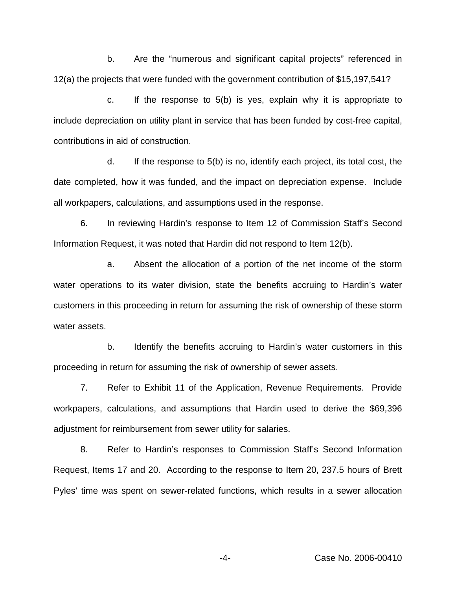b. Are the "numerous and significant capital projects" referenced in 12(a) the projects that were funded with the government contribution of \$15,197,541?

c. If the response to 5(b) is yes, explain why it is appropriate to include depreciation on utility plant in service that has been funded by cost-free capital, contributions in aid of construction.

d. If the response to 5(b) is no, identify each project, its total cost, the date completed, how it was funded, and the impact on depreciation expense. Include all workpapers, calculations, and assumptions used in the response.

6. In reviewing Hardin's response to Item 12 of Commission Staff's Second Information Request, it was noted that Hardin did not respond to Item 12(b).

a. Absent the allocation of a portion of the net income of the storm water operations to its water division, state the benefits accruing to Hardin's water customers in this proceeding in return for assuming the risk of ownership of these storm water assets.

b. Identify the benefits accruing to Hardin's water customers in this proceeding in return for assuming the risk of ownership of sewer assets.

7. Refer to Exhibit 11 of the Application, Revenue Requirements. Provide workpapers, calculations, and assumptions that Hardin used to derive the \$69,396 adjustment for reimbursement from sewer utility for salaries.

8. Refer to Hardin's responses to Commission Staff's Second Information Request, Items 17 and 20. According to the response to Item 20, 237.5 hours of Brett Pyles' time was spent on sewer-related functions, which results in a sewer allocation

-4- Case No. 2006-00410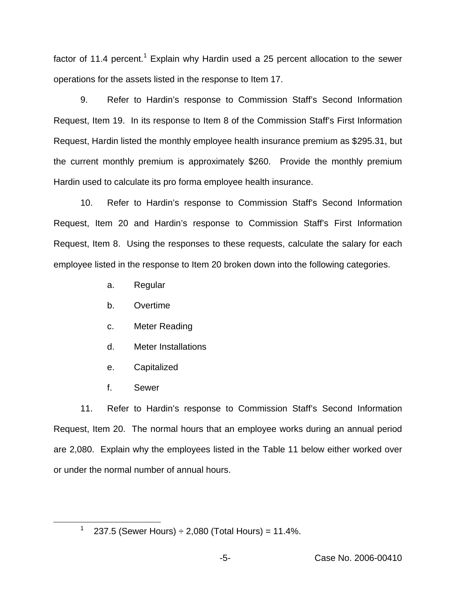factor of 11.4 percent.<sup>1</sup> Explain why Hardin used a 25 percent allocation to the sewer operations for the assets listed in the response to Item 17.

9. Refer to Hardin's response to Commission Staff's Second Information Request, Item 19. In its response to Item 8 of the Commission Staff's First Information Request, Hardin listed the monthly employee health insurance premium as \$295.31, but the current monthly premium is approximately \$260. Provide the monthly premium Hardin used to calculate its pro forma employee health insurance.

10. Refer to Hardin's response to Commission Staff's Second Information Request, Item 20 and Hardin's response to Commission Staff's First Information Request, Item 8. Using the responses to these requests, calculate the salary for each employee listed in the response to Item 20 broken down into the following categories.

- a. Regular
- b. Overtime
- c. Meter Reading
- d. Meter Installations
- e. Capitalized
- f. Sewer

11. Refer to Hardin's response to Commission Staff's Second Information Request, Item 20. The normal hours that an employee works during an annual period are 2,080. Explain why the employees listed in the Table 11 below either worked over or under the normal number of annual hours.

<sup>1</sup> 237.5 (Sewer Hours)  $\div$  2,080 (Total Hours) = 11.4%.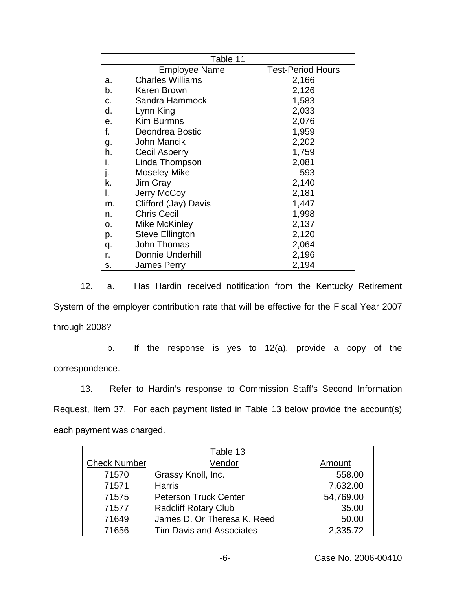|    | Table 11                |                          |
|----|-------------------------|--------------------------|
|    | <b>Employee Name</b>    | <b>Test-Period Hours</b> |
| а. | <b>Charles Williams</b> | 2,166                    |
| b. | Karen Brown             | 2,126                    |
| c. | Sandra Hammock          | 1,583                    |
| d. | Lynn King               | 2,033                    |
| е. | <b>Kim Burmns</b>       | 2,076                    |
| f. | Deondrea Bostic         | 1,959                    |
| g. | John Mancik             | 2,202                    |
| h. | <b>Cecil Asberry</b>    | 1,759                    |
|    | Linda Thompson          | 2,081                    |
|    | <b>Moseley Mike</b>     | 593                      |
| k. | Jim Gray                | 2,140                    |
| I. | Jerry McCoy             | 2,181                    |
| m. | Clifford (Jay) Davis    | 1,447                    |
| n. | <b>Chris Cecil</b>      | 1,998                    |
| о. | Mike McKinley           | 2,137                    |
| p. | <b>Steve Ellington</b>  | 2,120                    |
| q. | John Thomas             | 2,064                    |
| r. | <b>Donnie Underhill</b> | 2,196                    |
| s. | James Perry             | 2,194                    |

12. a. Has Hardin received notification from the Kentucky Retirement System of the employer contribution rate that will be effective for the Fiscal Year 2007 through 2008?

b. If the response is yes to 12(a), provide a copy of the correspondence.

13. Refer to Hardin's response to Commission Staff's Second Information Request, Item 37. For each payment listed in Table 13 below provide the account(s) each payment was charged.

|                     | Table 13                        |           |
|---------------------|---------------------------------|-----------|
| <b>Check Number</b> | Vendor                          | Amount    |
| 71570               | Grassy Knoll, Inc.              | 558.00    |
| 71571               | <b>Harris</b>                   | 7,632.00  |
| 71575               | <b>Peterson Truck Center</b>    | 54,769.00 |
| 71577               | <b>Radcliff Rotary Club</b>     | 35.00     |
| 71649               | James D. Or Theresa K. Reed     | 50.00     |
| 71656               | <b>Tim Davis and Associates</b> | 2,335.72  |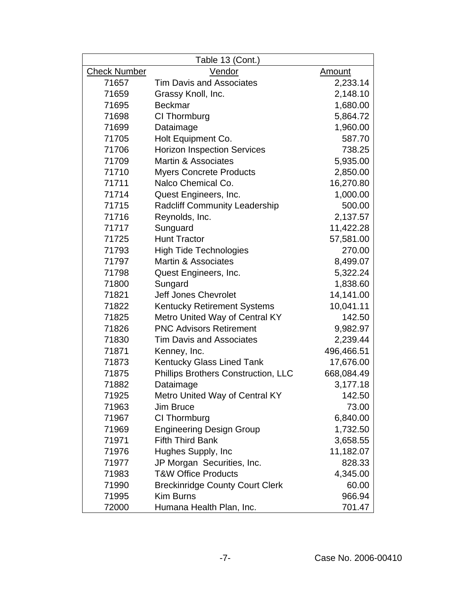| Table 13 (Cont.)    |                                        |               |  |
|---------------------|----------------------------------------|---------------|--|
| <b>Check Number</b> | <b>Vendor</b>                          | <u>Amount</u> |  |
| 71657               | <b>Tim Davis and Associates</b>        | 2,233.14      |  |
| 71659               | Grassy Knoll, Inc.                     | 2,148.10      |  |
| 71695               | <b>Beckmar</b>                         | 1,680.00      |  |
| 71698               | CI Thormburg                           | 5,864.72      |  |
| 71699               | Dataimage                              | 1,960.00      |  |
| 71705               | Holt Equipment Co.                     | 587.70        |  |
| 71706               | <b>Horizon Inspection Services</b>     | 738.25        |  |
| 71709               | <b>Martin &amp; Associates</b>         | 5,935.00      |  |
| 71710               | <b>Myers Concrete Products</b>         | 2,850.00      |  |
| 71711               | Nalco Chemical Co.                     | 16,270.80     |  |
| 71714               | Quest Engineers, Inc.                  | 1,000.00      |  |
| 71715               | <b>Radcliff Community Leadership</b>   | 500.00        |  |
| 71716               | Reynolds, Inc.                         | 2,137.57      |  |
| 71717               | Sunguard                               | 11,422.28     |  |
| 71725               | <b>Hunt Tractor</b>                    | 57,581.00     |  |
| 71793               | <b>High Tide Technologies</b>          | 270.00        |  |
| 71797               | Martin & Associates                    | 8,499.07      |  |
| 71798               | Quest Engineers, Inc.                  | 5,322.24      |  |
| 71800               | Sungard                                | 1,838.60      |  |
| 71821               | <b>Jeff Jones Chevrolet</b>            | 14,141.00     |  |
| 71822               | <b>Kentucky Retirement Systems</b>     | 10,041.11     |  |
| 71825               | Metro United Way of Central KY         | 142.50        |  |
| 71826               | <b>PNC Advisors Retirement</b>         | 9,982.97      |  |
| 71830               | <b>Tim Davis and Associates</b>        | 2,239.44      |  |
| 71871               | Kenney, Inc.                           | 496,466.51    |  |
| 71873               | Kentucky Glass Lined Tank              | 17,676.00     |  |
| 71875               | Phillips Brothers Construction, LLC    | 668,084.49    |  |
| 71882               | Dataimage                              | 3,177.18      |  |
| 71925               | Metro United Way of Central KY         | 142.50        |  |
| 71963               | <b>Jim Bruce</b>                       | 73.00         |  |
| 71967               | CI Thormburg                           | 6,840.00      |  |
| 71969               | <b>Engineering Design Group</b>        | 1,732.50      |  |
| 71971               | <b>Fifth Third Bank</b>                | 3,658.55      |  |
| 71976               | Hughes Supply, Inc.                    | 11,182.07     |  |
| 71977               | JP Morgan Securities, Inc.             | 828.33        |  |
| 71983               | <b>T&amp;W Office Products</b>         | 4,345.00      |  |
| 71990               | <b>Breckinridge County Court Clerk</b> | 60.00         |  |
| 71995               | <b>Kim Burns</b>                       | 966.94        |  |
| 72000               | Humana Health Plan, Inc.               | 701.47        |  |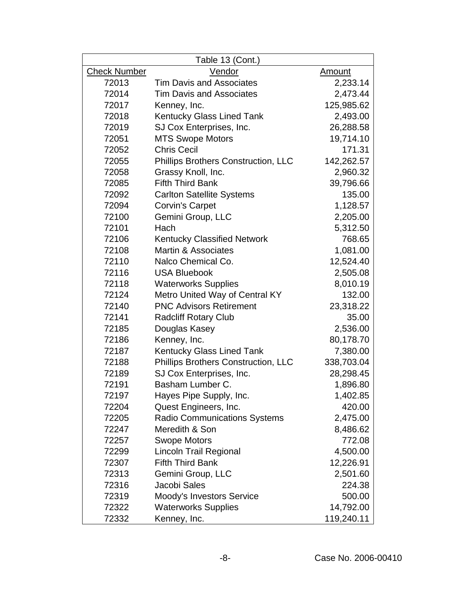| Table 13 (Cont.)    |                                            |               |  |
|---------------------|--------------------------------------------|---------------|--|
| <b>Check Number</b> | Vendor                                     | <u>Amount</u> |  |
| 72013               | <b>Tim Davis and Associates</b>            | 2,233.14      |  |
| 72014               | <b>Tim Davis and Associates</b>            | 2,473.44      |  |
| 72017               | Kenney, Inc.                               | 125,985.62    |  |
| 72018               | <b>Kentucky Glass Lined Tank</b>           | 2,493.00      |  |
| 72019               | SJ Cox Enterprises, Inc.                   | 26,288.58     |  |
| 72051               | <b>MTS Swope Motors</b>                    | 19,714.10     |  |
| 72052               | <b>Chris Cecil</b>                         | 171.31        |  |
| 72055               | <b>Phillips Brothers Construction, LLC</b> | 142,262.57    |  |
| 72058               | Grassy Knoll, Inc.                         | 2,960.32      |  |
| 72085               | <b>Fifth Third Bank</b>                    | 39,796.66     |  |
| 72092               | <b>Carlton Satellite Systems</b>           | 135.00        |  |
| 72094               | <b>Corvin's Carpet</b>                     | 1,128.57      |  |
| 72100               | Gemini Group, LLC                          | 2,205.00      |  |
| 72101               | Hach                                       | 5,312.50      |  |
| 72106               | <b>Kentucky Classified Network</b>         | 768.65        |  |
| 72108               | <b>Martin &amp; Associates</b>             | 1,081.00      |  |
| 72110               | Nalco Chemical Co.                         | 12,524.40     |  |
| 72116               | <b>USA Bluebook</b>                        | 2,505.08      |  |
| 72118               | <b>Waterworks Supplies</b>                 | 8,010.19      |  |
| 72124               | Metro United Way of Central KY             | 132.00        |  |
| 72140               | <b>PNC Advisors Retirement</b>             | 23,318.22     |  |
| 72141               | <b>Radcliff Rotary Club</b>                | 35.00         |  |
| 72185               | Douglas Kasey                              | 2,536.00      |  |
| 72186               | Kenney, Inc.                               | 80,178.70     |  |
| 72187               | <b>Kentucky Glass Lined Tank</b>           | 7,380.00      |  |
| 72188               | <b>Phillips Brothers Construction, LLC</b> | 338,703.04    |  |
| 72189               | SJ Cox Enterprises, Inc.                   | 28,298.45     |  |
| 72191               | Basham Lumber C.                           | 1,896.80      |  |
| 72197               | Hayes Pipe Supply, Inc.                    | 1,402.85      |  |
| 72204               | Quest Engineers, Inc.                      | 420.00        |  |
| 72205               | <b>Radio Communications Systems</b>        | 2,475.00      |  |
| 72247               | Meredith & Son                             | 8,486.62      |  |
| 72257               | <b>Swope Motors</b>                        | 772.08        |  |
| 72299               | <b>Lincoln Trail Regional</b>              | 4,500.00      |  |
| 72307               | <b>Fifth Third Bank</b>                    | 12,226.91     |  |
| 72313               | Gemini Group, LLC                          | 2,501.60      |  |
| 72316               | Jacobi Sales                               | 224.38        |  |
| 72319               | Moody's Investors Service                  | 500.00        |  |
| 72322               | <b>Waterworks Supplies</b>                 | 14,792.00     |  |
| 72332               | Kenney, Inc.                               | 119,240.11    |  |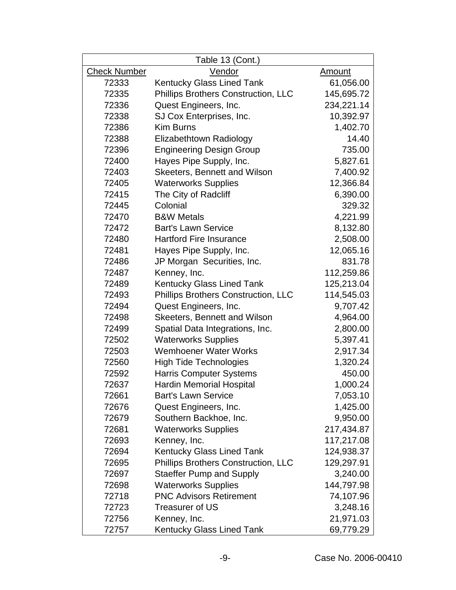|                     | Table 13 (Cont.)                           |               |
|---------------------|--------------------------------------------|---------------|
| <b>Check Number</b> | Vendor                                     | <u>Amount</u> |
| 72333               | <b>Kentucky Glass Lined Tank</b>           | 61,056.00     |
| 72335               | <b>Phillips Brothers Construction, LLC</b> | 145,695.72    |
| 72336               | Quest Engineers, Inc.                      | 234,221.14    |
| 72338               | SJ Cox Enterprises, Inc.                   | 10,392.97     |
| 72386               | <b>Kim Burns</b>                           | 1,402.70      |
| 72388               | Elizabethtown Radiology                    | 14.40         |
| 72396               | <b>Engineering Design Group</b>            | 735.00        |
| 72400               | Hayes Pipe Supply, Inc.                    | 5,827.61      |
| 72403               | Skeeters, Bennett and Wilson               | 7,400.92      |
| 72405               | <b>Waterworks Supplies</b>                 | 12,366.84     |
| 72415               | The City of Radcliff                       | 6,390.00      |
| 72445               | Colonial                                   | 329.32        |
| 72470               | <b>B&amp;W Metals</b>                      | 4,221.99      |
| 72472               | <b>Bart's Lawn Service</b>                 | 8,132.80      |
| 72480               | <b>Hartford Fire Insurance</b>             | 2,508.00      |
| 72481               | Hayes Pipe Supply, Inc.                    | 12,065.16     |
| 72486               | JP Morgan Securities, Inc.                 | 831.78        |
| 72487               | Kenney, Inc.                               | 112,259.86    |
| 72489               | <b>Kentucky Glass Lined Tank</b>           | 125,213.04    |
| 72493               | <b>Phillips Brothers Construction, LLC</b> | 114,545.03    |
| 72494               | Quest Engineers, Inc.                      | 9,707.42      |
| 72498               | Skeeters, Bennett and Wilson               | 4,964.00      |
| 72499               | Spatial Data Integrations, Inc.            | 2,800.00      |
| 72502               | <b>Waterworks Supplies</b>                 | 5,397.41      |
| 72503               | <b>Wemhoener Water Works</b>               | 2,917.34      |
| 72560               | <b>High Tide Technologies</b>              | 1,320.24      |
| 72592               | <b>Harris Computer Systems</b>             | 450.00        |
| 72637               | <b>Hardin Memorial Hospital</b>            | 1,000.24      |
| 72661               | <b>Bart's Lawn Service</b>                 | 7,053.10      |
| 72676               | Quest Engineers, Inc.                      | 1,425.00      |
| 72679               | Southern Backhoe, Inc.                     | 9,950.00      |
| 72681               | <b>Waterworks Supplies</b>                 | 217,434.87    |
| 72693               | Kenney, Inc.                               | 117,217.08    |
| 72694               | Kentucky Glass Lined Tank                  | 124,938.37    |
| 72695               | <b>Phillips Brothers Construction, LLC</b> | 129,297.91    |
| 72697               | <b>Staeffer Pump and Supply</b>            | 3,240.00      |
| 72698               | <b>Waterworks Supplies</b>                 | 144,797.98    |
| 72718               | <b>PNC Advisors Retirement</b>             | 74,107.96     |
| 72723               | <b>Treasurer of US</b>                     | 3,248.16      |
| 72756               | Kenney, Inc.                               | 21,971.03     |
| 72757               | <b>Kentucky Glass Lined Tank</b>           | 69,779.29     |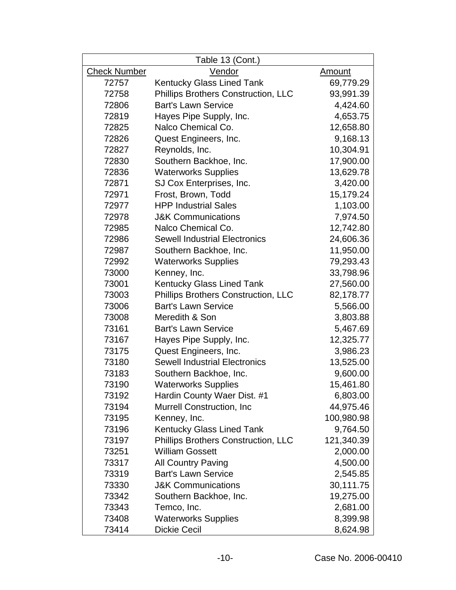| Table 13 (Cont.)    |                                            |               |  |
|---------------------|--------------------------------------------|---------------|--|
| <b>Check Number</b> | Vendor                                     | <u>Amount</u> |  |
| 72757               | Kentucky Glass Lined Tank                  | 69,779.29     |  |
| 72758               | <b>Phillips Brothers Construction, LLC</b> | 93,991.39     |  |
| 72806               | <b>Bart's Lawn Service</b>                 | 4,424.60      |  |
| 72819               | Hayes Pipe Supply, Inc.                    | 4,653.75      |  |
| 72825               | Nalco Chemical Co.                         | 12,658.80     |  |
| 72826               | Quest Engineers, Inc.                      | 9,168.13      |  |
| 72827               | Reynolds, Inc.                             | 10,304.91     |  |
| 72830               | Southern Backhoe, Inc.                     | 17,900.00     |  |
| 72836               | <b>Waterworks Supplies</b>                 | 13,629.78     |  |
| 72871               | SJ Cox Enterprises, Inc.                   | 3,420.00      |  |
| 72971               | Frost, Brown, Todd                         | 15,179.24     |  |
| 72977               | <b>HPP Industrial Sales</b>                | 1,103.00      |  |
| 72978               | <b>J&amp;K Communications</b>              | 7,974.50      |  |
| 72985               | Nalco Chemical Co.                         | 12,742.80     |  |
| 72986               | <b>Sewell Industrial Electronics</b>       | 24,606.36     |  |
| 72987               | Southern Backhoe, Inc.                     | 11,950.00     |  |
| 72992               | <b>Waterworks Supplies</b>                 | 79,293.43     |  |
| 73000               | Kenney, Inc.                               | 33,798.96     |  |
| 73001               | <b>Kentucky Glass Lined Tank</b>           | 27,560.00     |  |
| 73003               | Phillips Brothers Construction, LLC        | 82,178.77     |  |
| 73006               | <b>Bart's Lawn Service</b>                 | 5,566.00      |  |
| 73008               | Meredith & Son                             | 3,803.88      |  |
| 73161               | <b>Bart's Lawn Service</b>                 | 5,467.69      |  |
| 73167               | Hayes Pipe Supply, Inc.                    | 12,325.77     |  |
| 73175               | Quest Engineers, Inc.                      | 3,986.23      |  |
| 73180               | <b>Sewell Industrial Electronics</b>       | 13,525.00     |  |
| 73183               | Southern Backhoe, Inc.                     | 9,600.00      |  |
| 73190               | <b>Waterworks Supplies</b>                 | 15,461.80     |  |
| 73192               | Hardin County Waer Dist. #1                | 6,803.00      |  |
| 73194               | Murrell Construction, Inc.                 | 44,975.46     |  |
| 73195               | Kenney, Inc.                               | 100,980.98    |  |
| 73196               | <b>Kentucky Glass Lined Tank</b>           | 9,764.50      |  |
| 73197               | <b>Phillips Brothers Construction, LLC</b> | 121,340.39    |  |
| 73251               | <b>William Gossett</b>                     | 2,000.00      |  |
| 73317               | <b>All Country Paving</b>                  | 4,500.00      |  |
| 73319               | <b>Bart's Lawn Service</b>                 | 2,545.85      |  |
| 73330               | <b>J&amp;K Communications</b>              | 30,111.75     |  |
| 73342               | Southern Backhoe, Inc.                     | 19,275.00     |  |
| 73343               | Temco, Inc.                                | 2,681.00      |  |
| 73408               | <b>Waterworks Supplies</b>                 | 8,399.98      |  |
| 73414               | <b>Dickie Cecil</b>                        | 8,624.98      |  |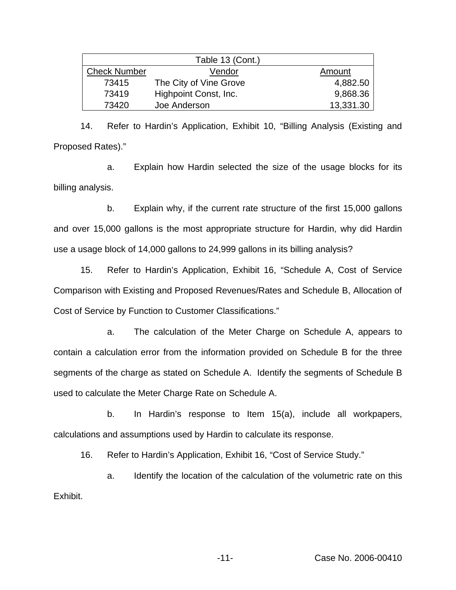|                     | Table 13 (Cont.)       |           |
|---------------------|------------------------|-----------|
| <b>Check Number</b> | Vendor                 | Amount    |
| 73415               | The City of Vine Grove | 4,882.50  |
| 73419               | Highpoint Const, Inc.  | 9,868.36  |
| 73420               | Joe Anderson           | 13,331.30 |

14. Refer to Hardin's Application, Exhibit 10, "Billing Analysis (Existing and Proposed Rates)."

a. Explain how Hardin selected the size of the usage blocks for its billing analysis.

b. Explain why, if the current rate structure of the first 15,000 gallons and over 15,000 gallons is the most appropriate structure for Hardin, why did Hardin use a usage block of 14,000 gallons to 24,999 gallons in its billing analysis?

15. Refer to Hardin's Application, Exhibit 16, "Schedule A, Cost of Service Comparison with Existing and Proposed Revenues/Rates and Schedule B, Allocation of Cost of Service by Function to Customer Classifications."

a. The calculation of the Meter Charge on Schedule A, appears to contain a calculation error from the information provided on Schedule B for the three segments of the charge as stated on Schedule A. Identify the segments of Schedule B used to calculate the Meter Charge Rate on Schedule A.

b. In Hardin's response to Item 15(a), include all workpapers, calculations and assumptions used by Hardin to calculate its response.

16. Refer to Hardin's Application, Exhibit 16, "Cost of Service Study."

a. Identify the location of the calculation of the volumetric rate on this Exhibit.